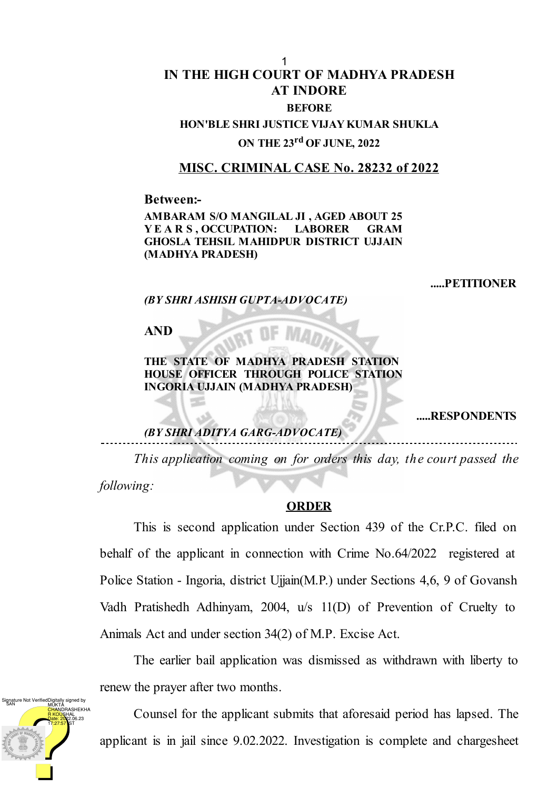## **IN THE HIGH COURT OF MADHYA PRADESH AT INDORE BEFORE**

**HON'BLE SHRI JUSTICE VIJAY KUMAR SHUKLA ON THE 23 rd OF JUNE, 2022**

## **MISC. CRIMINAL CASE No. 28232 of 2022**

**Between:-**

**AMBARAM S/O MANGILAL JI , AGED ABOUT 25 Y E A R S , OCCUPATION: LABORER GRAM GHOSLA TEHSIL MAHIDPUR DISTRICT UJJAIN (MADHYA PRADESH)**

**.....PETITIONER**

*(BY SHRI ASHISH GUPTA-ADVOCATE)*

**AND**

**THE STATE OF MADHYA PRADESH STATION HOUSE OFFICER THROUGH POLICE STATION INGORIA UJJAIN (MADHYA PRADESH)**

**.....RESPONDENTS**

## *(BY SHRI ADITYA GARG-ADVOCATE)*

*This application coming on for orders this day, the court passed the following:*

## **ORDER**

This is second application under Section 439 of the Cr.P.C. filed on behalf of the applicant in connection with Crime No.64/2022 registered at Police Station - Ingoria, district Ujjain(M.P.) under Sections 4,6, 9 of Govansh Vadh Pratishedh Adhinyam, 2004, u/s 11(D) of Prevention of Cruelty to Animals Act and under section 34(2) of M.P. Excise Act.

The earlier bail application was dismissed as withdrawn with liberty to renew the prayer after two months.



Counsel for the applicant submits that aforesaid period has lapsed. The applicant is in jail since 9.02.2022. Investigation is complete and chargesheet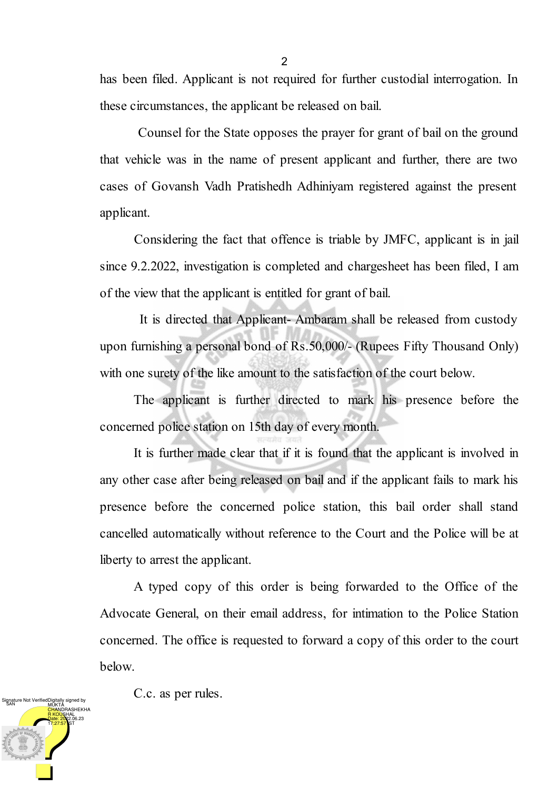has been filed. Applicant is not required for further custodial interrogation. In these circumstances, the applicant be released on bail.

Counsel for the State opposes the prayer for grant of bail on the ground that vehicle was in the name of present applicant and further, there are two cases of Govansh Vadh Pratishedh Adhiniyam registered against the present applicant.

Considering the fact that offence is triable by JMFC, applicant is in jail since 9.2.2022, investigation is completed and chargesheet has been filed, I am of the view that the applicant is entitled for grant of bail.

It is directed that Applicant- Ambaram shall be released from custody upon furnishing a personal bond of Rs.50,000/- (Rupees Fifty Thousand Only) with one surety of the like amount to the satisfaction of the court below.

The applicant is further directed to mark his presence before the concerned police station on 15th day of every month.

It is further made clear that if it is found that the applicant is involved in any other case after being released on bail and if the applicant fails to mark his presence before the concerned police station, this bail order shall stand cancelled automatically without reference to the Court and the Police will be at liberty to arrest the applicant.

A typed copy of this order is being forwarded to the Office of the Advocate General, on their email address, for intimation to the Police Station concerned. The office is requested to forward a copy of this order to the court below.



C.c. as per rules.